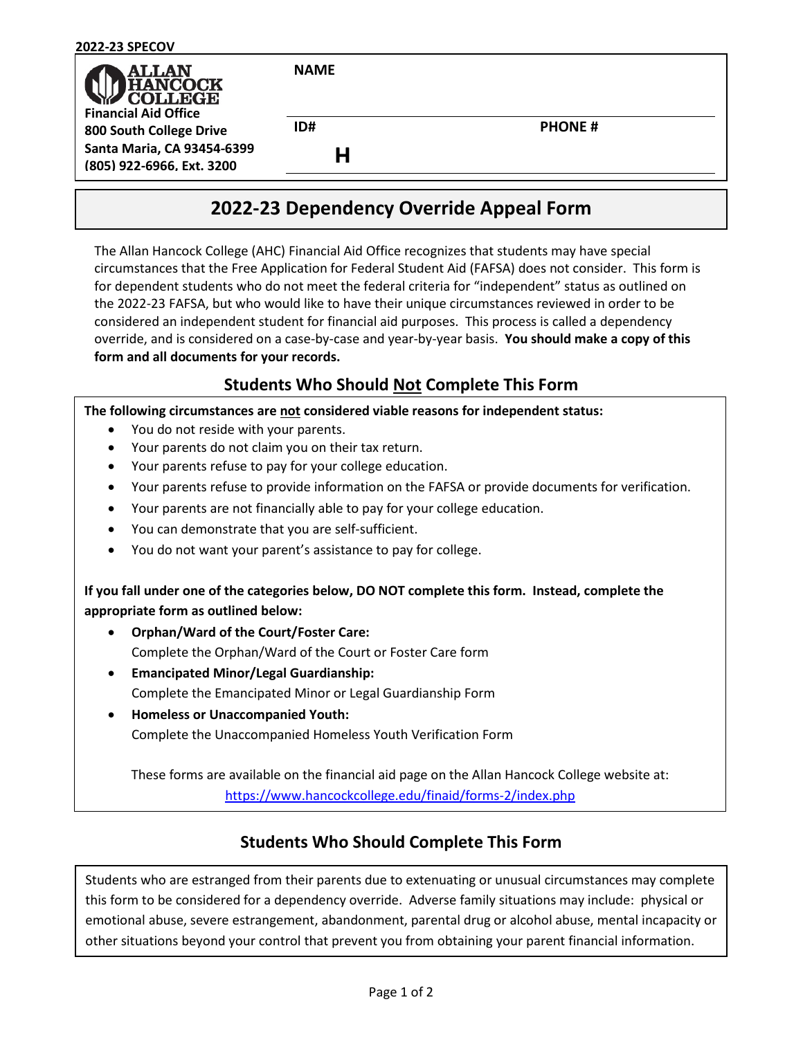| <b>2022-23 SPECOV</b>                                                           |             |               |
|---------------------------------------------------------------------------------|-------------|---------------|
| <b>ALLAN</b><br><b>IANCOCK</b><br><b>COLLEGE</b><br><b>Financial Aid Office</b> | <b>NAME</b> |               |
| 800 South College Drive                                                         | ID#         | <b>PHONE#</b> |
| Santa Maria, CA 93454-6399<br>(805) 922-6966, Ext. 3200                         |             |               |

# **2022-23 Dependency Override Appeal Form**

The Allan Hancock College (AHC) Financial Aid Office recognizes that students may have special circumstances that the Free Application for Federal Student Aid (FAFSA) does not consider. This form is for dependent students who do not meet the federal criteria for "independent" status as outlined on the 2022-23 FAFSA, but who would like to have their unique circumstances reviewed in order to be considered an independent student for financial aid purposes. This process is called a dependency override, and is considered on a case-by-case and year-by-year basis. **You should make a copy of this form and all documents for your records.**

## **Students Who Should Not Complete This Form**

#### **The following circumstances are not considered viable reasons for independent status:**

- You do not reside with your parents.
- Your parents do not claim you on their tax return.
- Your parents refuse to pay for your college education.
- Your parents refuse to provide information on the FAFSA or provide documents for verification.
- Your parents are not financially able to pay for your college education.
- You can demonstrate that you are self-sufficient.
- You do not want your parent's assistance to pay for college.

**If you fall under one of the categories below, DO NOT complete this form. Instead, complete the appropriate form as outlined below:**

- **Orphan/Ward of the Court/Foster Care:**  Complete the Orphan/Ward of the Court or Foster Care form
- **Emancipated Minor/Legal Guardianship:** Complete the Emancipated Minor or Legal Guardianship Form
- **Homeless or Unaccompanied Youth:** Complete the Unaccompanied Homeless Youth Verification Form

These forms are available on the financial aid page on the Allan Hancock College website at: <https://www.hancockcollege.edu/finaid/forms-2/index.php>

## **Students Who Should Complete This Form**

Students who are estranged from their parents due to extenuating or unusual circumstances may complete this form to be considered for a dependency override. Adverse family situations may include: physical or emotional abuse, severe estrangement, abandonment, parental drug or alcohol abuse, mental incapacity or other situations beyond your control that prevent you from obtaining your parent financial information.